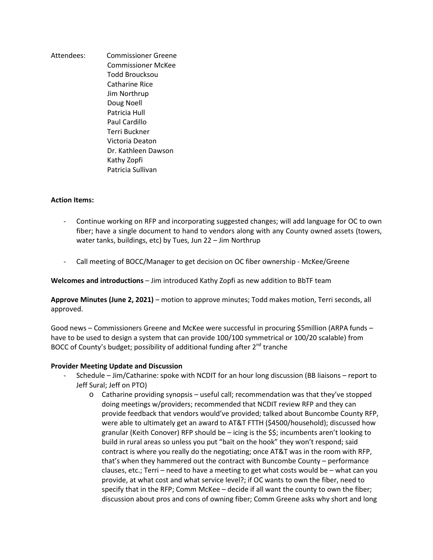Attendees: Commissioner Greene Commissioner McKee Todd Broucksou Catharine Rice Jim Northrup Doug Noell Patricia Hull Paul Cardillo Terri Buckner Victoria Deaton Dr. Kathleen Dawson Kathy Zopfi Patricia Sullivan

## **Action Items:**

- Continue working on RFP and incorporating suggested changes; will add language for OC to own fiber; have a single document to hand to vendors along with any County owned assets (towers, water tanks, buildings, etc) by Tues, Jun 22 – Jim Northrup
- Call meeting of BOCC/Manager to get decision on OC fiber ownership McKee/Greene

**Welcomes and introductions** – Jim introduced Kathy Zopfi as new addition to BbTF team

**Approve Minutes (June 2, 2021)** – motion to approve minutes; Todd makes motion, Terri seconds, all approved.

Good news – Commissioners Greene and McKee were successful in procuring \$5million (ARPA funds – have to be used to design a system that can provide 100/100 symmetrical or 100/20 scalable) from BOCC of County's budget; possibility of additional funding after  $2^{nd}$  tranche

## **Provider Meeting Update and Discussion**

- Schedule Jim/Catharine: spoke with NCDIT for an hour long discussion (BB liaisons report to Jeff Sural; Jeff on PTO)
	- o Catharine providing synopsis useful call; recommendation was that they've stopped doing meetings w/providers; recommended that NCDIT review RFP and they can provide feedback that vendors would've provided; talked about Buncombe County RFP, were able to ultimately get an award to AT&T FTTH (\$4500/household); discussed how granular (Keith Conover) RFP should be – icing is the \$\$; incumbents aren't looking to build in rural areas so unless you put "bait on the hook" they won't respond; said contract is where you really do the negotiating; once AT&T was in the room with RFP, that's when they hammered out the contract with Buncombe County – performance clauses, etc.; Terri – need to have a meeting to get what costs would be – what can you provide, at what cost and what service level?; if OC wants to own the fiber, need to specify that in the RFP; Comm McKee – decide if all want the county to own the fiber; discussion about pros and cons of owning fiber; Comm Greene asks why short and long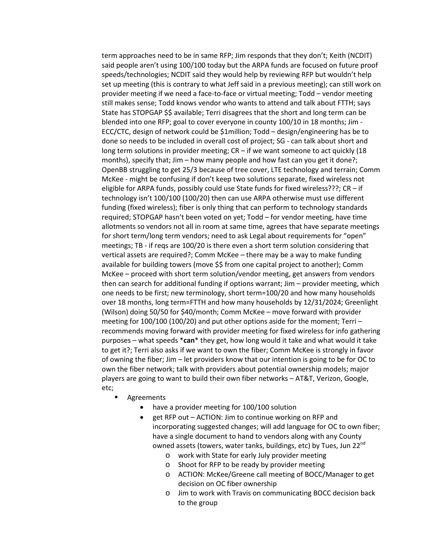term approaches need to be in same RFP; Jim responds that they don't; Keith (NCDIT) said people aren't using 100/100 today but the ARPA funds are focused on future proof speeds/technologies; NCDIT said they would help by reviewing RFP but wouldn't help set up meeting (this is contrary to what Jeff said in a previous meeting); can still work on provider meeting if we need a face-to-face or virtual meeting; Todd – vendor meeting still makes sense; Todd knows vendor who wants to attend and talk about FTTH; says State has STOPGAP \$\$ available; Terri disagrees that the short and long term can be blended into one RFP; goal to cover everyone in county 100/10 in 18 months; Jim - ECC/CTC, design of network could be \$1million; Todd – design/engineering has be to done so needs to be included in overall cost of project; SG - can talk about short and long term solutions in provider meeting; CR – if we want someone to act quickly (18 months), specify that; Jim – how many people and how fast can you get it done?; OpenBB struggling to get 25/3 because of tree cover, LTE technology and terrain; Comm McKee - might be confusing if don't keep two solutions separate, fixed wireless not eligible for ARPA funds, possibly could use State funds for fixed wireless???;  $CR - if$ technology isn't 100/100 (100/20) then can use ARPA otherwise must use different funding (fixed wireless); fiber is only thing that can perform to technology standards required; STOPGAP hasn't been voted on yet; Todd – for vendor meeting, have time allotments so vendors not all in room at same time, agrees that have separate meetings for short term/long term vendors; need to ask Legal about requirements for "open" meetings; TB - if reqs are 100/20 is there even a short term solution considering that vertical assets are required?; Comm McKee – there may be a way to make funding available for building towers (move \$\$ from one capital project to another); Comm McKee – proceed with short term solution/vendor meeting, get answers from vendors then can search for additional funding if options warrant; Jim – provider meeting, which one needs to be first; new terminology, short term=100/20 and how many households over 18 months, long term=FTTH and how many households by 12/31/2024; Greenlight (Wilson) doing 50/50 for \$40/month; Comm McKee – move forward with provider meeting for 100/100 (100/20) and put other options aside for the moment; Terri – recommends moving forward with provider meeting for fixed wireless for info gathering purposes – what speeds \***can**\* they get, how long would it take and what would it take to get it?; Terri also asks if we want to own the fiber; Comm McKee is strongly in favor of owning the fiber; Jim – let providers know that our intention is going to be for OC to own the fiber network; talk with providers about potential ownership models; major players are going to want to build their own fiber networks – AT&T, Verizon, Google, etc;

- Agreements
	- have a provider meeting for 100/100 solution
	- get RFP out ACTION: Jim to continue working on RFP and incorporating suggested changes; will add language for OC to own fiber; have a single document to hand to vendors along with any County owned assets (towers, water tanks, buildings, etc) by Tues, Jun 22<sup>nd</sup>
		- o work with State for early July provider meeting
		- o Shoot for RFP to be ready by provider meeting
		- o ACTION: McKee/Greene call meeting of BOCC/Manager to get decision on OC fiber ownership
		- o Jim to work with Travis on communicating BOCC decision back to the group